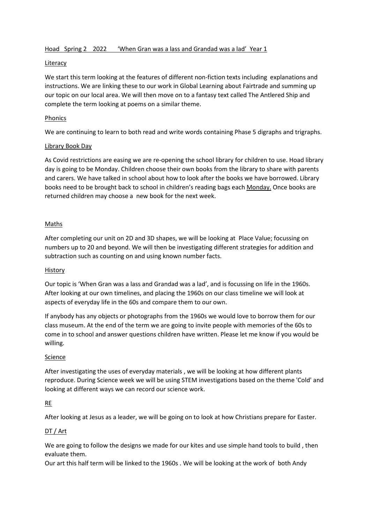### Hoad Spring 2 2022 'When Gran was a lass and Grandad was a lad' Year 1

#### Literacy

We start this term looking at the features of different non-fiction texts including explanations and instructions. We are linking these to our work in Global Learning about Fairtrade and summing up our topic on our local area. We will then move on to a fantasy text called The Antlered Ship and complete the term looking at poems on a similar theme.

#### **Phonics**

We are continuing to learn to both read and write words containing Phase 5 digraphs and trigraphs.

### Library Book Day

As Covid restrictions are easing we are re-opening the school library for children to use. Hoad library day is going to be Monday. Children choose their own books from the library to share with parents and carers. We have talked in school about how to look after the books we have borrowed. Library books need to be brought back to school in children's reading bags each Monday. Once books are returned children may choose a new book for the next week.

# Maths

After completing our unit on 2D and 3D shapes, we will be looking at Place Value; focussing on numbers up to 20 and beyond. We will then be investigating different strategies for addition and subtraction such as counting on and using known number facts.

#### History

Our topic is 'When Gran was a lass and Grandad was a lad', and is focussing on life in the 1960s. After looking at our own timelines, and placing the 1960s on our class timeline we will look at aspects of everyday life in the 60s and compare them to our own.

If anybody has any objects or photographs from the 1960s we would love to borrow them for our class museum. At the end of the term we are going to invite people with memories of the 60s to come in to school and answer questions children have written. Please let me know if you would be willing.

#### Science

After investigating the uses of everyday materials , we will be looking at how different plants reproduce. During Science week we will be using STEM investigations based on the theme 'Cold' and looking at different ways we can record our science work.

# RE

After looking at Jesus as a leader, we will be going on to look at how Christians prepare for Easter.

# DT / Art

We are going to follow the designs we made for our kites and use simple hand tools to build, then evaluate them.

Our art this half term will be linked to the 1960s . We will be looking at the work of both Andy